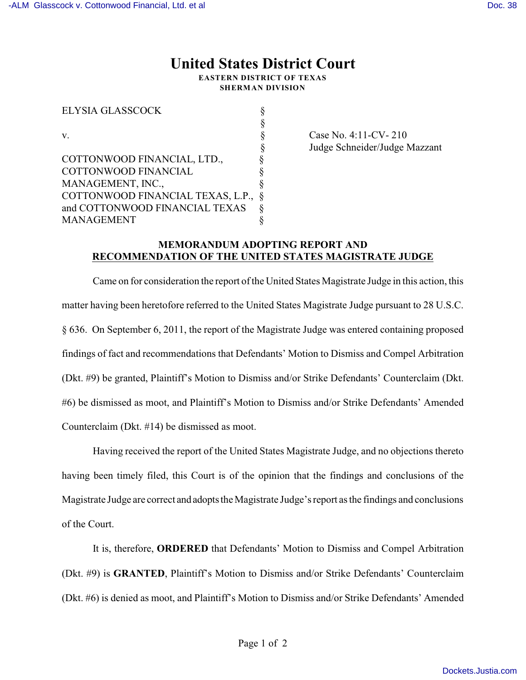## **United States District Court**

**EASTERN DISTRICT OF TEXAS SHERMAN DIVISION**

| <b>ELYSIA GLASSCOCK</b>           |  |
|-----------------------------------|--|
|                                   |  |
| v                                 |  |
|                                   |  |
| COTTONWOOD FINANCIAL, LTD.,       |  |
| <b>COTTONWOOD FINANCIAL</b>       |  |
| MANAGEMENT, INC.,                 |  |
| COTTONWOOD FINANCIAL TEXAS, L.P., |  |
| and COTTONWOOD FINANCIAL TEXAS    |  |
| <b>MANAGEMENT</b>                 |  |
|                                   |  |

 $\S$  Case No. 4:11-CV- 210 § Judge Schneider/Judge Mazzant

## **MEMORANDUM ADOPTING REPORT AND RECOMMENDATION OF THE UNITED STATES MAGISTRATE JUDGE**

Came on for consideration the report of the United States Magistrate Judge in this action, this matter having been heretofore referred to the United States Magistrate Judge pursuant to 28 U.S.C. § 636. On September 6, 2011, the report of the Magistrate Judge was entered containing proposed findings of fact and recommendations that Defendants' Motion to Dismiss and Compel Arbitration (Dkt. #9) be granted, Plaintiff's Motion to Dismiss and/or Strike Defendants' Counterclaim (Dkt. #6) be dismissed as moot, and Plaintiff's Motion to Dismiss and/or Strike Defendants' Amended Counterclaim (Dkt. #14) be dismissed as moot.

Having received the report of the United States Magistrate Judge, and no objections thereto having been timely filed, this Court is of the opinion that the findings and conclusions of the Magistrate Judge are correct and adopts the Magistrate Judge's report as the findings and conclusions of the Court.

It is, therefore, **ORDERED** that Defendants' Motion to Dismiss and Compel Arbitration (Dkt. #9) is **GRANTED**, Plaintiff's Motion to Dismiss and/or Strike Defendants' Counterclaim (Dkt. #6) is denied as moot, and Plaintiff's Motion to Dismiss and/or Strike Defendants' Amended